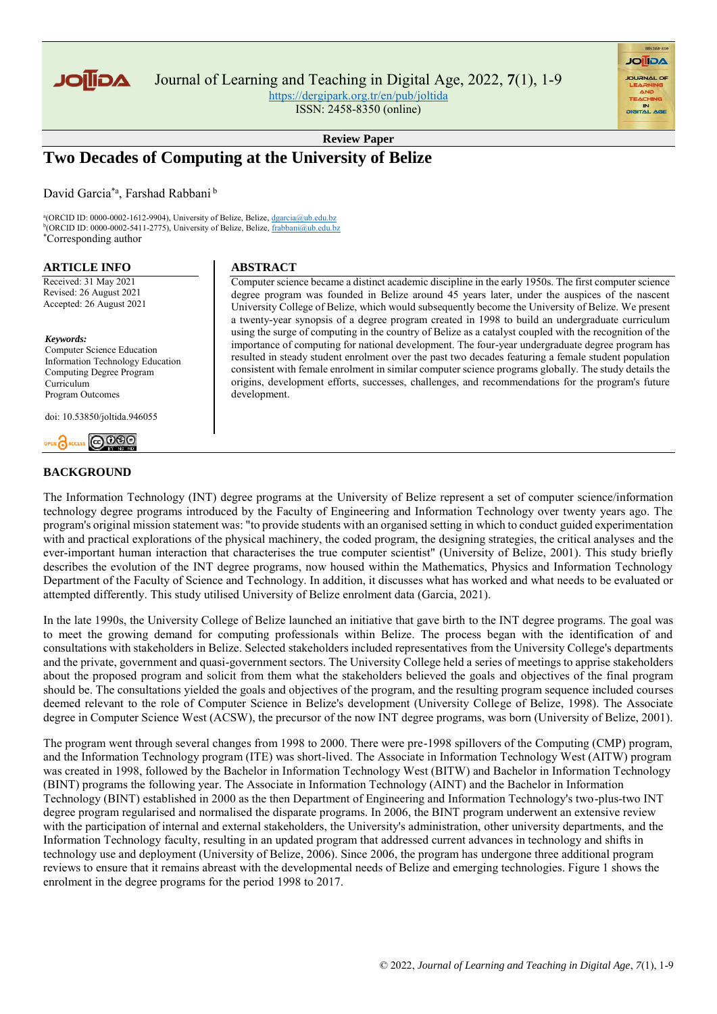

Journal of Learning and Teaching in Digital Age, 2022, **7**(1), 1-9

<https://dergipark.org.tr/en/pub/joltida> ISSN: 2458-8350 (online)

**Review Paper**

# **Two Decades of Computing at the University of Belize**

David Garcia<sup>\*a</sup>, Farshad Rabbani<sup>b</sup>

<sup>a</sup>(ORCID ID: 0000-0002-1612-9904), University of Belize, Belize, dgarcia@ub.edu.bz <sup>b</sup>(ORCID ID: 0000-0002-5411-2775), University of Belize, Belize, frabbani@ub.edu.bz \*Corresponding author

#### **ARTICLE INFO**

Received: 31 May 2021 Revised: 26 August 2021 Accepted: 26 August 2021

#### *Keywords:*

Computer Science Education Information Technology Education Computing Degree Program Curriculum Program Outcomes

doi: 10.53850/joltida.946055

# 

# **BACKGROUND**

**ABSTRACT** 

Computer science became a distinct academic discipline in the early 1950s. The first computer science degree program was founded in Belize around 45 years later, under the auspices of the nascent University College of Belize, which would subsequently become the University of Belize. We present a twenty-year synopsis of a degree program created in 1998 to build an undergraduate curriculum using the surge of computing in the country of Belize as a catalyst coupled with the recognition of the importance of computing for national development. The four-year undergraduate degree program has resulted in steady student enrolment over the past two decades featuring a female student population consistent with female enrolment in similar computer science programs globally. The study details the origins, development efforts, successes, challenges, and recommendations for the program's future development.

**AGIIOL** 

The Information Technology (INT) degree programs at the University of Belize represent a set of computer science/information technology degree programs introduced by the Faculty of Engineering and Information Technology over twenty years ago. The program's original mission statement was: "to provide students with an organised setting in which to conduct guided experimentation with and practical explorations of the physical machinery, the coded program, the designing strategies, the critical analyses and the ever-important human interaction that characterises the true computer scientist" (University of Belize, 2001). This study briefly describes the evolution of the INT degree programs, now housed within the Mathematics, Physics and Information Technology Department of the Faculty of Science and Technology. In addition, it discusses what has worked and what needs to be evaluated or attempted differently. This study utilised University of Belize enrolment data (Garcia, 2021).

In the late 1990s, the University College of Belize launched an initiative that gave birth to the INT degree programs. The goal was to meet the growing demand for computing professionals within Belize. The process began with the identification of and consultations with stakeholders in Belize. Selected stakeholders included representatives from the University College's departments and the private, government and quasi-government sectors. The University College held a series of meetings to apprise stakeholders about the proposed program and solicit from them what the stakeholders believed the goals and objectives of the final program should be. The consultations yielded the goals and objectives of the program, and the resulting program sequence included courses deemed relevant to the role of Computer Science in Belize's development (University College of Belize, 1998). The Associate degree in Computer Science West (ACSW), the precursor of the now INT degree programs, was born (University of Belize, 2001).

The program went through several changes from 1998 to 2000. There were pre-1998 spillovers of the Computing (CMP) program, and the Information Technology program (ITE) was short-lived. The Associate in Information Technology West (AITW) program was created in 1998, followed by the Bachelor in Information Technology West (BITW) and Bachelor in Information Technology (BINT) programs the following year. The Associate in Information Technology (AINT) and the Bachelor in Information Technology (BINT) established in 2000 as the then Department of Engineering and Information Technology's two-plus-two INT degree program regularised and normalised the disparate programs. In 2006, the BINT program underwent an extensive review with the participation of internal and external stakeholders, the University's administration, other university departments, and the Information Technology faculty, resulting in an updated program that addressed current advances in technology and shifts in technology use and deployment (University of Belize, 2006). Since 2006, the program has undergone three additional program reviews to ensure that it remains abreast with the developmental needs of Belize and emerging technologies. Figure 1 shows the enrolment in the degree programs for the period 1998 to 2017.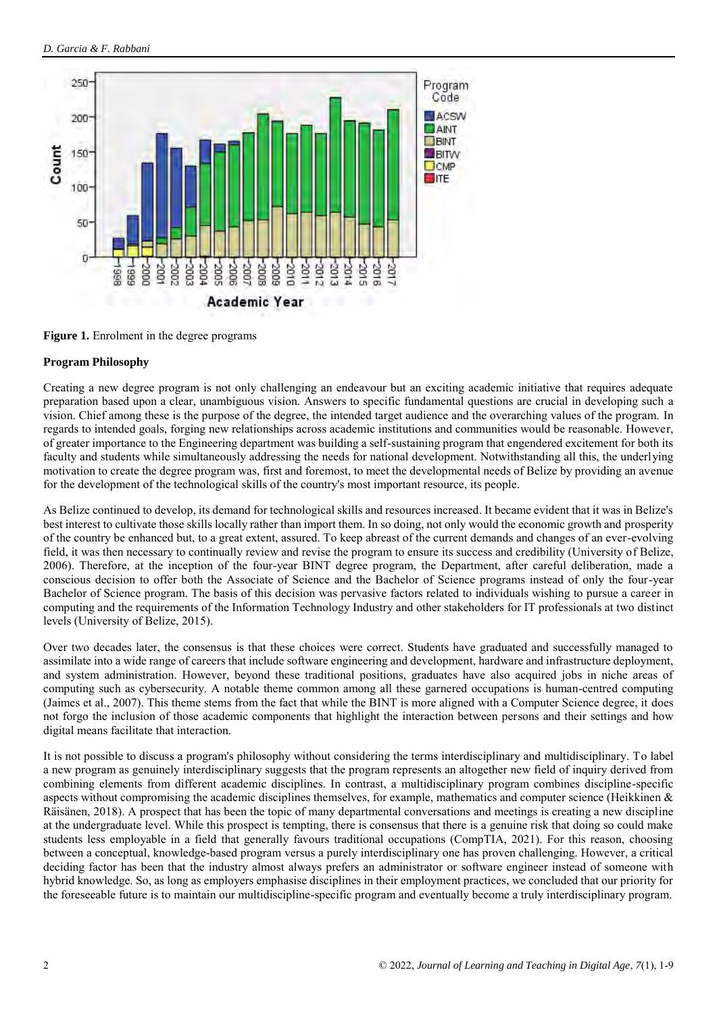

**Figure 1.** Enrolment in the degree programs

# **Program Philosophy**

Creating a new degree program is not only challenging an endeavour but an exciting academic initiative that requires adequate preparation based upon a clear, unambiguous vision. Answers to specific fundamental questions are crucial in developing such a vision. Chief among these is the purpose of the degree, the intended target audience and the overarching values of the program. In regards to intended goals, forging new relationships across academic institutions and communities would be reasonable. However, of greater importance to the Engineering department was building a self-sustaining program that engendered excitement for both its faculty and students while simultaneously addressing the needs for national development. Notwithstanding all this, the underlying motivation to create the degree program was, first and foremost, to meet the developmental needs of Belize by providing an avenue for the development of the technological skills of the country's most important resource, its people.

As Belize continued to develop, its demand for technological skills and resources increased. It became evident that it was in Belize's best interest to cultivate those skills locally rather than import them. In so doing, not only would the economic growth and prosperity of the country be enhanced but, to a great extent, assured. To keep abreast of the current demands and changes of an ever-evolving field, it was then necessary to continually review and revise the program to ensure its success and credibility (University of Belize, 2006). Therefore, at the inception of the four-year BINT degree program, the Department, after careful deliberation, made a conscious decision to offer both the Associate of Science and the Bachelor of Science programs instead of only the four-year Bachelor of Science program. The basis of this decision was pervasive factors related to individuals wishing to pursue a career in computing and the requirements of the Information Technology Industry and other stakeholders for IT professionals at two distinct levels (University of Belize, 2015).

Over two decades later, the consensus is that these choices were correct. Students have graduated and successfully managed to assimilate into a wide range of careers that include software engineering and development, hardware and infrastructure deployment, and system administration. However, beyond these traditional positions, graduates have also acquired jobs in niche areas of computing such as cybersecurity. A notable theme common among all these garnered occupations is human-centred computing (Jaimes et al., 2007). This theme stems from the fact that while the BINT is more aligned with a Computer Science degree, it does not forgo the inclusion of those academic components that highlight the interaction between persons and their settings and how digital means facilitate that interaction.

It is not possible to discuss a program's philosophy without considering the terms interdisciplinary and multidisciplinary. To label a new program as genuinely interdisciplinary suggests that the program represents an altogether new field of inquiry derived from combining elements from different academic disciplines. In contrast, a multidisciplinary program combines discipline-specific aspects without compromising the academic disciplines themselves, for example, mathematics and computer science (Heikkinen  $\&$ Räisänen, 2018). A prospect that has been the topic of many departmental conversations and meetings is creating a new discipline at the undergraduate level. While this prospect is tempting, there is consensus that there is a genuine risk that doing so could make students less employable in a field that generally favours traditional occupations (CompTIA, 2021). For this reason, choosing between a conceptual, knowledge-based program versus a purely interdisciplinary one has proven challenging. However, a critical deciding factor has been that the industry almost always prefers an administrator or software engineer instead of someone with hybrid knowledge. So, as long as employers emphasise disciplines in their employment practices, we concluded that our priority for the foreseeable future is to maintain our multidiscipline-specific program and eventually become a truly interdisciplinary program.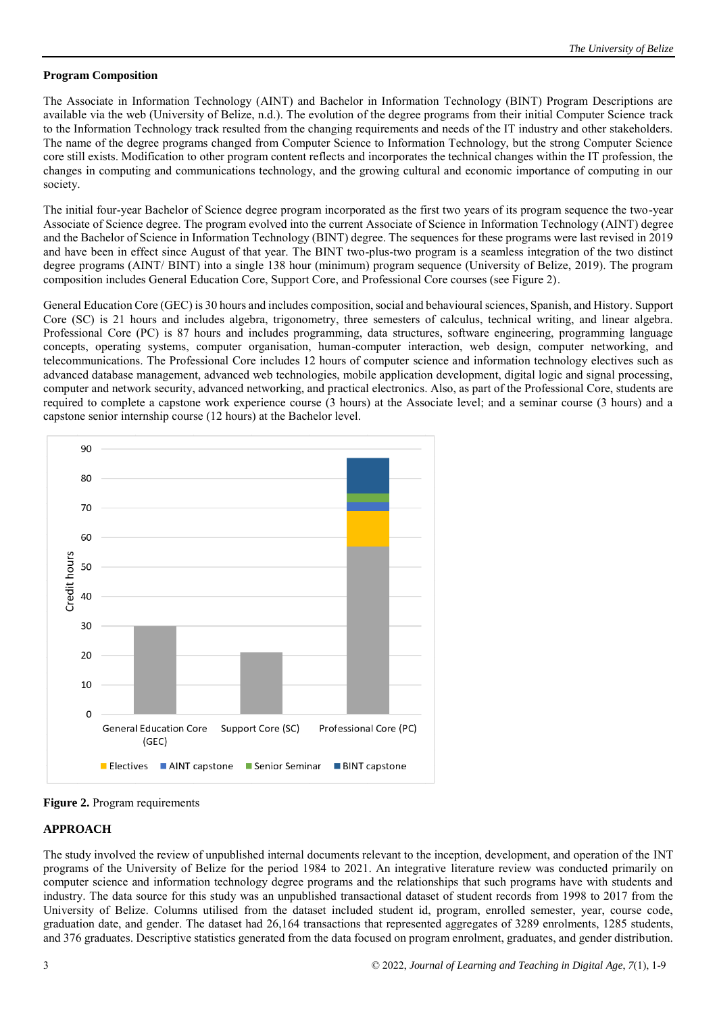# **Program Composition**

The Associate in Information Technology (AINT) and Bachelor in Information Technology (BINT) Program Descriptions are available via the web (University of Belize, n.d.). The evolution of the degree programs from their initial Computer Science track to the Information Technology track resulted from the changing requirements and needs of the IT industry and other stakeholders. The name of the degree programs changed from Computer Science to Information Technology, but the strong Computer Science core still exists. Modification to other program content reflects and incorporates the technical changes within the IT profession, the changes in computing and communications technology, and the growing cultural and economic importance of computing in our society.

The initial four-year Bachelor of Science degree program incorporated as the first two years of its program sequence the two-year Associate of Science degree. The program evolved into the current Associate of Science in Information Technology (AINT) degree and the Bachelor of Science in Information Technology (BINT) degree. The sequences for these programs were last revised in 2019 and have been in effect since August of that year. The BINT two-plus-two program is a seamless integration of the two distinct degree programs (AINT/ BINT) into a single 138 hour (minimum) program sequence (University of Belize, 2019). The program composition includes General Education Core, Support Core, and Professional Core courses (see Figure 2).

General Education Core (GEC) is 30 hours and includes composition, social and behavioural sciences, Spanish, and History. Support Core (SC) is 21 hours and includes algebra, trigonometry, three semesters of calculus, technical writing, and linear algebra. Professional Core (PC) is 87 hours and includes programming, data structures, software engineering, programming language concepts, operating systems, computer organisation, human-computer interaction, web design, computer networking, and telecommunications. The Professional Core includes 12 hours of computer science and information technology electives such as advanced database management, advanced web technologies, mobile application development, digital logic and signal processing, computer and network security, advanced networking, and practical electronics. Also, as part of the Professional Core, students are required to complete a capstone work experience course (3 hours) at the Associate level; and a seminar course (3 hours) and a capstone senior internship course (12 hours) at the Bachelor level.



**Figure 2.** Program requirements

# **APPROACH**

The study involved the review of unpublished internal documents relevant to the inception, development, and operation of the INT programs of the University of Belize for the period 1984 to 2021. An integrative literature review was conducted primarily on computer science and information technology degree programs and the relationships that such programs have with students and industry. The data source for this study was an unpublished transactional dataset of student records from 1998 to 2017 from the University of Belize. Columns utilised from the dataset included student id, program, enrolled semester, year, course code, graduation date, and gender. The dataset had 26,164 transactions that represented aggregates of 3289 enrolments, 1285 students, and 376 graduates. Descriptive statistics generated from the data focused on program enrolment, graduates, and gender distribution.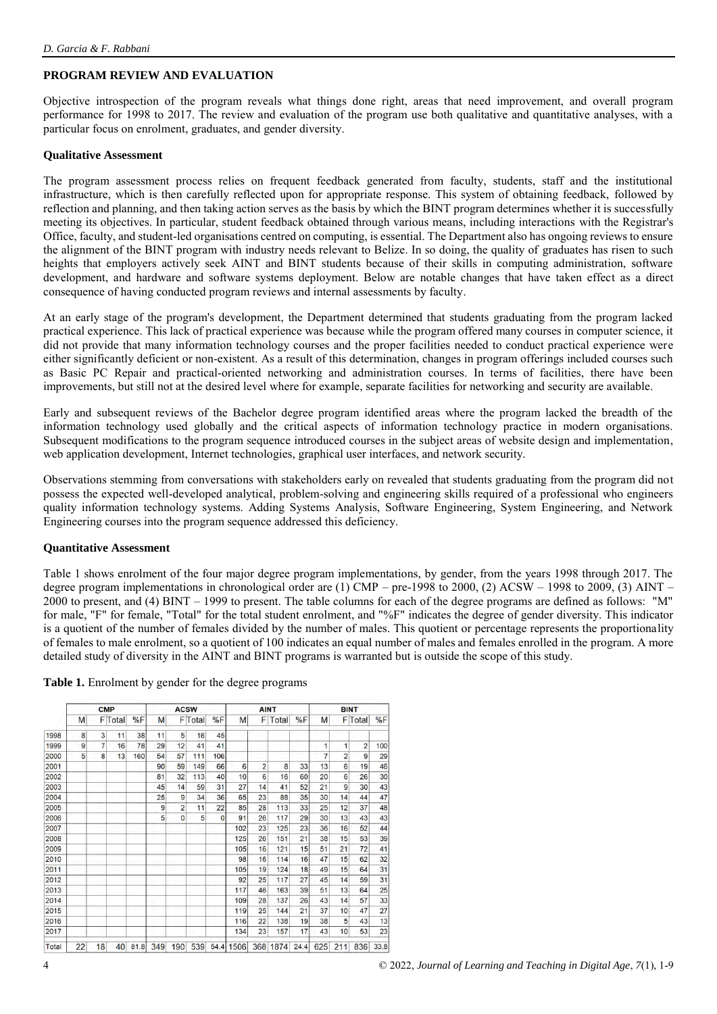# **PROGRAM REVIEW AND EVALUATION**

Objective introspection of the program reveals what things done right, areas that need improvement, and overall program performance for 1998 to 2017. The review and evaluation of the program use both qualitative and quantitative analyses, with a particular focus on enrolment, graduates, and gender diversity.

#### **Qualitative Assessment**

The program assessment process relies on frequent feedback generated from faculty, students, staff and the institutional infrastructure, which is then carefully reflected upon for appropriate response. This system of obtaining feedback, followed by reflection and planning, and then taking action serves as the basis by which the BINT program determines whether it is successfully meeting its objectives. In particular, student feedback obtained through various means, including interactions with the Registrar's Office, faculty, and student-led organisations centred on computing, is essential. The Department also has ongoing reviews to ensure the alignment of the BINT program with industry needs relevant to Belize. In so doing, the quality of graduates has risen to such heights that employers actively seek AINT and BINT students because of their skills in computing administration, software development, and hardware and software systems deployment. Below are notable changes that have taken effect as a direct consequence of having conducted program reviews and internal assessments by faculty.

At an early stage of the program's development, the Department determined that students graduating from the program lacked practical experience. This lack of practical experience was because while the program offered many courses in computer science, it did not provide that many information technology courses and the proper facilities needed to conduct practical experience were either significantly deficient or non-existent. As a result of this determination, changes in program offerings included courses such as Basic PC Repair and practical-oriented networking and administration courses. In terms of facilities, there have been improvements, but still not at the desired level where for example, separate facilities for networking and security are available.

Early and subsequent reviews of the Bachelor degree program identified areas where the program lacked the breadth of the information technology used globally and the critical aspects of information technology practice in modern organisations. Subsequent modifications to the program sequence introduced courses in the subject areas of website design and implementation, web application development, Internet technologies, graphical user interfaces, and network security.

Observations stemming from conversations with stakeholders early on revealed that students graduating from the program did not possess the expected well-developed analytical, problem-solving and engineering skills required of a professional who engineers quality information technology systems. Adding Systems Analysis, Software Engineering, System Engineering, and Network Engineering courses into the program sequence addressed this deficiency.

#### **Quantitative Assessment**

Table 1 shows enrolment of the four major degree program implementations, by gender, from the years 1998 through 2017. The degree program implementations in chronological order are  $(1)$  CMP – pre-1998 to 2000, (2) ACSW – 1998 to 2009, (3) AINT – 2000 to present, and (4) BINT – 1999 to present. The table columns for each of the degree programs are defined as follows: "M" for male, "F" for female, "Total" for the total student enrolment, and "%F" indicates the degree of gender diversity. This indicator is a quotient of the number of females divided by the number of males. This quotient or percentage represents the proportionality of females to male enrolment, so a quotient of 100 indicates an equal number of males and females enrolled in the program. A more detailed study of diversity in the AINT and BINT programs is warranted but is outside the scope of this study.

|  | Table 1. Enrolment by gender for the degree programs |  |  |  |  |
|--|------------------------------------------------------|--|--|--|--|
|--|------------------------------------------------------|--|--|--|--|

|       | <b>CMP</b> |    |                | <b>ACSW</b> |     |                | <b>AINT</b>    |          |      | <b>BINT</b>    |       |      |     |                |                |      |
|-------|------------|----|----------------|-------------|-----|----------------|----------------|----------|------|----------------|-------|------|-----|----------------|----------------|------|
|       | M          |    | <b>F</b> Total | %F          | M   |                | <b>F</b> Total | %F       | M    | F              | Total | %F   | M   |                | <b>F</b> Total | %F   |
| 1998  | 8          | 3  | 11             | 38          | 11  | 5              | 16             | 45       |      |                |       |      |     |                |                |      |
| 1999  | 9          | 7  | 16             | 78          | 29  | 12             | 41             | 41       |      |                |       |      | 1   | 1              | $\overline{2}$ | 100  |
| 2000  | 5          | 8  | 13             | 160         | 54  | 57             | 111            | 106      |      |                |       |      | 7   | $\overline{2}$ | 9              | 29   |
| 2001  |            |    |                |             | 90  | 59             | 149            | 66       | 6    | $\overline{c}$ | 8     | 33   | 13  | 6              | 19             | 46   |
| 2002  |            |    |                |             | 81  | 32             | 113            | 40       | 10   | 6              | 16    | 60   | 20  | 6              | 26             | 30   |
| 2003  |            |    |                |             | 45  | 14             | 59             | 31       | 27   | 14             | 41    | 52   | 21  | 9              | 30             | 43   |
| 2004  |            |    |                |             | 25  | 9              | 34             | 36       | 65   | 23             | 88    | 35   | 30  | 14             | 44             | 47   |
| 2005  |            |    |                |             | 9   | $\overline{c}$ | 11             | 22       | 85   | 28             | 113   | 33   | 25  | 12             | 37             | 48   |
| 2006  |            |    |                |             | 5   | $\overline{0}$ | 5              | $\Omega$ | 91   | 26             | 117   | 29   | 30  | 13             | 43             | 43   |
| 2007  |            |    |                |             |     |                |                |          | 102  | 23             | 125   | 23   | 36  | 16             | 52             | 44   |
| 2008  |            |    |                |             |     |                |                |          | 125  | 26             | 151   | 21   | 38  | 15             | 53             | 39   |
| 2009  |            |    |                |             |     |                |                |          | 105  | 16             | 121   | 15   | 51  | 21             | 72             | 41   |
| 2010  |            |    |                |             |     |                |                |          | 98   | 16             | 114   | 16   | 47  | 15             | 62             | 32   |
| 2011  |            |    |                |             |     |                |                |          | 105  | 19             | 124   | 18   | 49  | 15             | 64             | 31   |
| 2012  |            |    |                |             |     |                |                |          | 92   | 25             | 117   | 27   | 45  | 14             | 59             | 31   |
| 2013  |            |    |                |             |     |                |                |          | 117  | 46             | 163   | 39   | 51  | 13             | 64             | 25   |
| 2014  |            |    |                |             |     |                |                |          | 109  | 28             | 137   | 26   | 43  | 14             | 57             | 33   |
| 2015  |            |    |                |             |     |                |                |          | 119  | 25             | 144   | 21   | 37  | 10             | 47             | 27   |
| 2016  |            |    |                |             |     |                |                |          | 116  | 22             | 138   | 19   | 38  | 5              | 43             | 13   |
| 2017  |            |    |                |             |     |                |                |          | 134  | 23             | 157   | 17   | 43  | 10             | 53             | 23   |
| Total | 22         | 18 | 40             | 81.8        | 349 | 190            | 539            | 54.4     | 1506 | 368            | 1874  | 24.4 | 625 | 211            | 836            | 33.8 |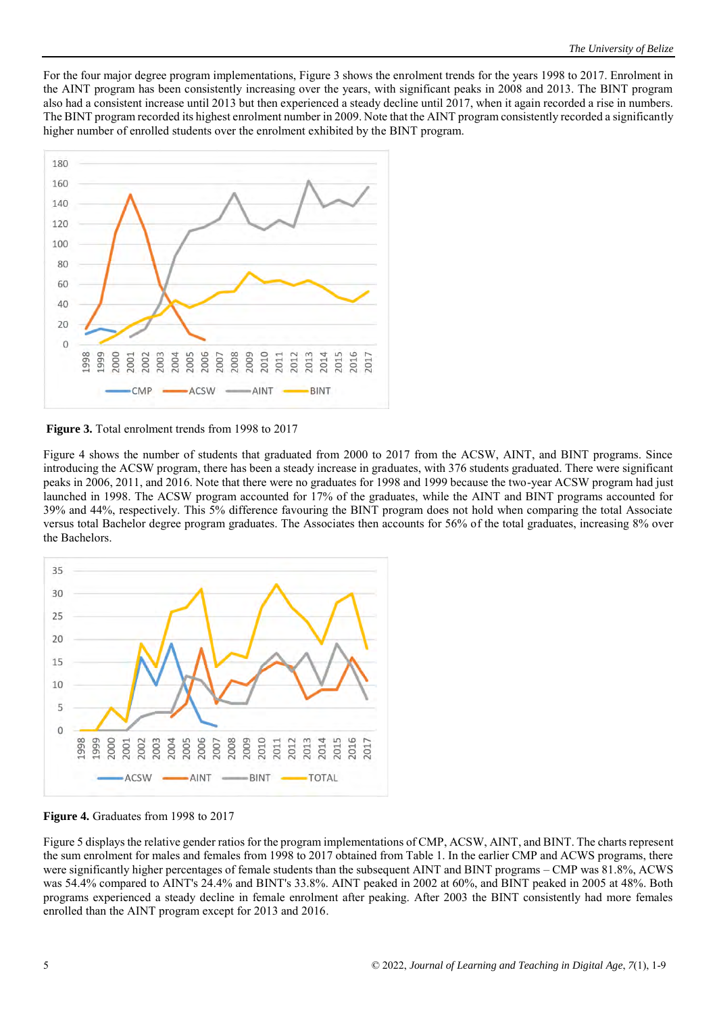For the four major degree program implementations, Figure 3 shows the enrolment trends for the years 1998 to 2017. Enrolment in the AINT program has been consistently increasing over the years, with significant peaks in 2008 and 2013. The BINT program also had a consistent increase until 2013 but then experienced a steady decline until 2017, when it again recorded a rise in numbers. The BINT program recorded its highest enrolment number in 2009. Note that the AINT program consistently recorded a significantly higher number of enrolled students over the enrolment exhibited by the BINT program.



**Figure 3.** Total enrolment trends from 1998 to 2017

Figure 4 shows the number of students that graduated from 2000 to 2017 from the ACSW, AINT, and BINT programs. Since introducing the ACSW program, there has been a steady increase in graduates, with 376 students graduated. There were significant peaks in 2006, 2011, and 2016. Note that there were no graduates for 1998 and 1999 because the two-year ACSW program had just launched in 1998. The ACSW program accounted for 17% of the graduates, while the AINT and BINT programs accounted for 39% and 44%, respectively. This 5% difference favouring the BINT program does not hold when comparing the total Associate versus total Bachelor degree program graduates. The Associates then accounts for 56% of the total graduates, increasing 8% over the Bachelors.



**Figure 4.** Graduates from 1998 to 2017

Figure 5 displays the relative gender ratios for the program implementations of CMP, ACSW, AINT, and BINT. The charts represent the sum enrolment for males and females from 1998 to 2017 obtained from Table 1. In the earlier CMP and ACWS programs, there were significantly higher percentages of female students than the subsequent AINT and BINT programs – CMP was 81.8%, ACWS was 54.4% compared to AINT's 24.4% and BINT's 33.8%. AINT peaked in 2002 at 60%, and BINT peaked in 2005 at 48%. Both programs experienced a steady decline in female enrolment after peaking. After 2003 the BINT consistently had more females enrolled than the AINT program except for 2013 and 2016.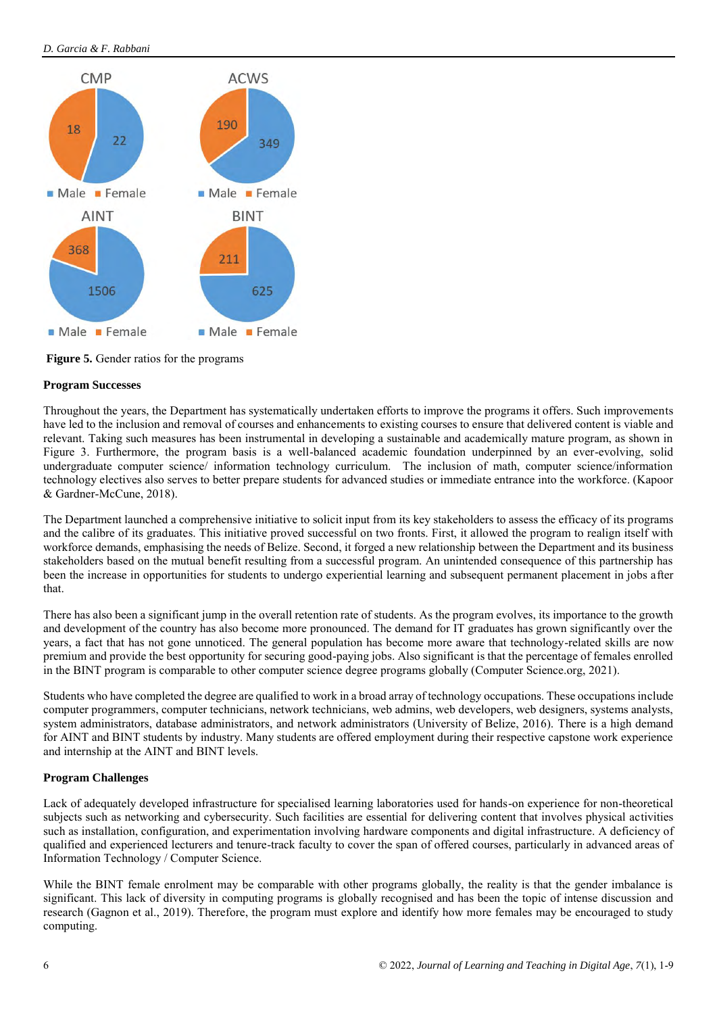# *D. Garcia & F. Rabbani*



**Figure 5.** Gender ratios for the programs

# **Program Successes**

Throughout the years, the Department has systematically undertaken efforts to improve the programs it offers. Such improvements have led to the inclusion and removal of courses and enhancements to existing courses to ensure that delivered content is viable and relevant. Taking such measures has been instrumental in developing a sustainable and academically mature program, as shown in Figure 3. Furthermore, the program basis is a well-balanced academic foundation underpinned by an ever-evolving, solid undergraduate computer science/ information technology curriculum. The inclusion of math, computer science/information technology electives also serves to better prepare students for advanced studies or immediate entrance into the workforce. (Kapoor & Gardner-McCune, 2018).

The Department launched a comprehensive initiative to solicit input from its key stakeholders to assess the efficacy of its programs and the calibre of its graduates. This initiative proved successful on two fronts. First, it allowed the program to realign itself with workforce demands, emphasising the needs of Belize. Second, it forged a new relationship between the Department and its business stakeholders based on the mutual benefit resulting from a successful program. An unintended consequence of this partnership has been the increase in opportunities for students to undergo experiential learning and subsequent permanent placement in jobs after that.

There has also been a significant jump in the overall retention rate of students. As the program evolves, its importance to the growth and development of the country has also become more pronounced. The demand for IT graduates has grown significantly over the years, a fact that has not gone unnoticed. The general population has become more aware that technology-related skills are now premium and provide the best opportunity for securing good-paying jobs. Also significant is that the percentage of females enrolled in the BINT program is comparable to other computer science degree programs globally (Computer Science.org, 2021).

Students who have completed the degree are qualified to work in a broad array of technology occupations. These occupations include computer programmers, computer technicians, network technicians, web admins, web developers, web designers, systems analysts, system administrators, database administrators, and network administrators (University of Belize, 2016). There is a high demand for AINT and BINT students by industry. Many students are offered employment during their respective capstone work experience and internship at the AINT and BINT levels.

# **Program Challenges**

Lack of adequately developed infrastructure for specialised learning laboratories used for hands-on experience for non-theoretical subjects such as networking and cybersecurity. Such facilities are essential for delivering content that involves physical activities such as installation, configuration, and experimentation involving hardware components and digital infrastructure. A deficiency of qualified and experienced lecturers and tenure-track faculty to cover the span of offered courses, particularly in advanced areas of Information Technology / Computer Science.

While the BINT female enrolment may be comparable with other programs globally, the reality is that the gender imbalance is significant. This lack of diversity in computing programs is globally recognised and has been the topic of intense discussion and research (Gagnon et al., 2019). Therefore, the program must explore and identify how more females may be encouraged to study computing.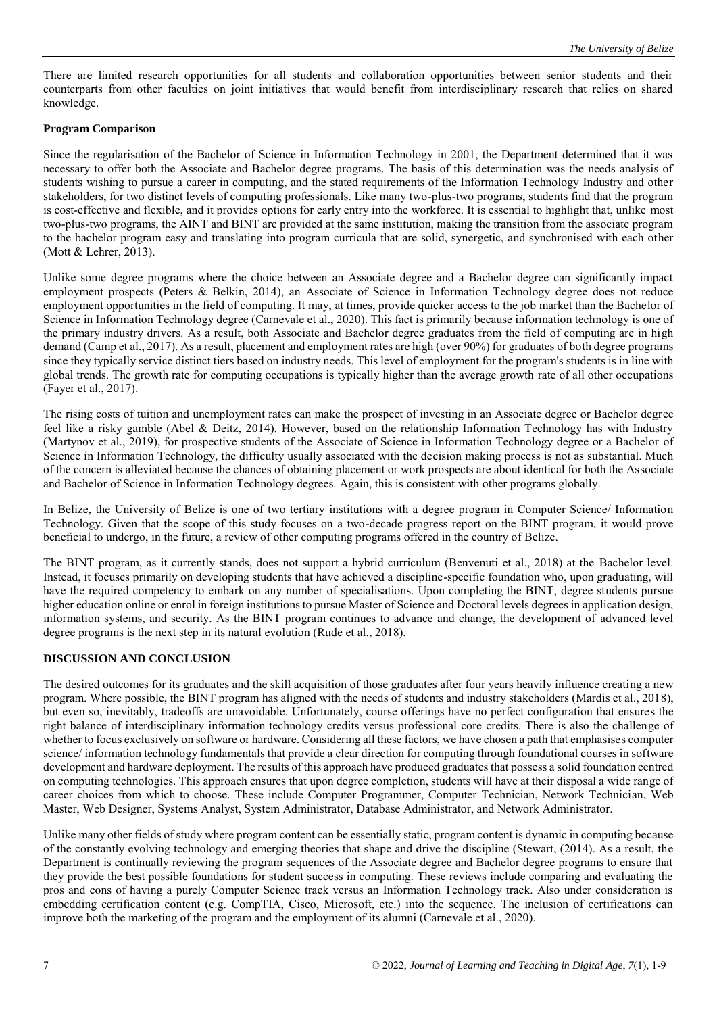There are limited research opportunities for all students and collaboration opportunities between senior students and their counterparts from other faculties on joint initiatives that would benefit from interdisciplinary research that relies on shared knowledge.

# **Program Comparison**

Since the regularisation of the Bachelor of Science in Information Technology in 2001, the Department determined that it was necessary to offer both the Associate and Bachelor degree programs. The basis of this determination was the needs analysis of students wishing to pursue a career in computing, and the stated requirements of the Information Technology Industry and other stakeholders, for two distinct levels of computing professionals. Like many two-plus-two programs, students find that the program is cost-effective and flexible, and it provides options for early entry into the workforce. It is essential to highlight that, unlike most two-plus-two programs, the AINT and BINT are provided at the same institution, making the transition from the associate program to the bachelor program easy and translating into program curricula that are solid, synergetic, and synchronised with each other (Mott & Lehrer, 2013).

Unlike some degree programs where the choice between an Associate degree and a Bachelor degree can significantly impact employment prospects (Peters & Belkin, 2014), an Associate of Science in Information Technology degree does not reduce employment opportunities in the field of computing. It may, at times, provide quicker access to the job market than the Bachelor of Science in Information Technology degree (Carnevale et al., 2020). This fact is primarily because information technology is one of the primary industry drivers. As a result, both Associate and Bachelor degree graduates from the field of computing are in high demand (Camp et al., 2017). As a result, placement and employment rates are high (over 90%) for graduates of both degree programs since they typically service distinct tiers based on industry needs. This level of employment for the program's students is in line with global trends. The growth rate for computing occupations is typically higher than the average growth rate of all other occupations (Fayer et al., 2017).

The rising costs of tuition and unemployment rates can make the prospect of investing in an Associate degree or Bachelor degree feel like a risky gamble (Abel & Deitz, 2014). However, based on the relationship Information Technology has with Industry (Martynov et al., 2019), for prospective students of the Associate of Science in Information Technology degree or a Bachelor of Science in Information Technology, the difficulty usually associated with the decision making process is not as substantial. Much of the concern is alleviated because the chances of obtaining placement or work prospects are about identical for both the Associate and Bachelor of Science in Information Technology degrees. Again, this is consistent with other programs globally.

In Belize, the University of Belize is one of two tertiary institutions with a degree program in Computer Science/ Information Technology. Given that the scope of this study focuses on a two-decade progress report on the BINT program, it would prove beneficial to undergo, in the future, a review of other computing programs offered in the country of Belize.

The BINT program, as it currently stands, does not support a hybrid curriculum (Benvenuti et al., 2018) at the Bachelor level. Instead, it focuses primarily on developing students that have achieved a discipline-specific foundation who, upon graduating, will have the required competency to embark on any number of specialisations. Upon completing the BINT, degree students pursue higher education online or enrol in foreign institutions to pursue Master of Science and Doctoral levels degrees in application design, information systems, and security. As the BINT program continues to advance and change, the development of advanced level degree programs is the next step in its natural evolution (Rude et al., 2018).

#### **DISCUSSION AND CONCLUSION**

The desired outcomes for its graduates and the skill acquisition of those graduates after four years heavily influence creating a new program. Where possible, the BINT program has aligned with the needs of students and industry stakeholders (Mardis et al., 2018), but even so, inevitably, tradeoffs are unavoidable. Unfortunately, course offerings have no perfect configuration that ensures the right balance of interdisciplinary information technology credits versus professional core credits. There is also the challenge of whether to focus exclusively on software or hardware. Considering all these factors, we have chosen a path that emphasises computer science/ information technology fundamentals that provide a clear direction for computing through foundational courses in software development and hardware deployment. The results of this approach have produced graduates that possess a solid foundation centred on computing technologies. This approach ensures that upon degree completion, students will have at their disposal a wide range of career choices from which to choose. These include Computer Programmer, Computer Technician, Network Technician, Web Master, Web Designer, Systems Analyst, System Administrator, Database Administrator, and Network Administrator.

Unlike many other fields of study where program content can be essentially static, program content is dynamic in computing because of the constantly evolving technology and emerging theories that shape and drive the discipline (Stewart, (2014). As a result, the Department is continually reviewing the program sequences of the Associate degree and Bachelor degree programs to ensure that they provide the best possible foundations for student success in computing. These reviews include comparing and evaluating the pros and cons of having a purely Computer Science track versus an Information Technology track. Also under consideration is embedding certification content (e.g. CompTIA, Cisco, Microsoft, etc.) into the sequence. The inclusion of certifications can improve both the marketing of the program and the employment of its alumni (Carnevale et al., 2020).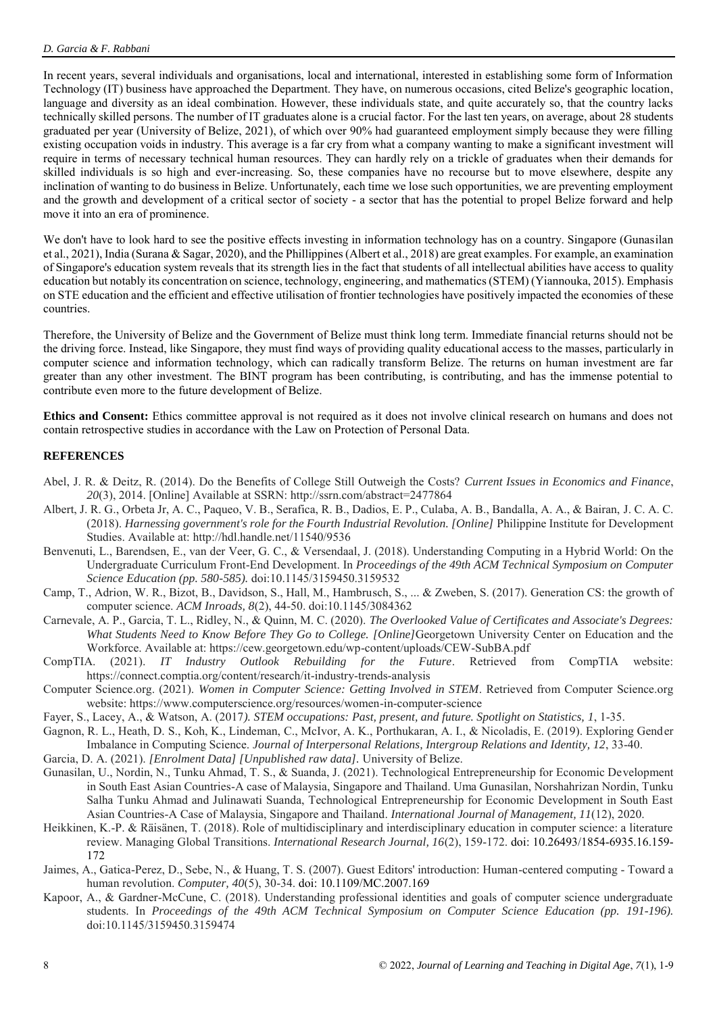In recent years, several individuals and organisations, local and international, interested in establishing some form of Information Technology (IT) business have approached the Department. They have, on numerous occasions, cited Belize's geographic location, language and diversity as an ideal combination. However, these individuals state, and quite accurately so, that the country lacks technically skilled persons. The number of IT graduates alone is a crucial factor. For the last ten years, on average, about 28 students graduated per year (University of Belize, 2021), of which over 90% had guaranteed employment simply because they were filling existing occupation voids in industry. This average is a far cry from what a company wanting to make a significant investment will require in terms of necessary technical human resources. They can hardly rely on a trickle of graduates when their demands for skilled individuals is so high and ever-increasing. So, these companies have no recourse but to move elsewhere, despite any inclination of wanting to do business in Belize. Unfortunately, each time we lose such opportunities, we are preventing employment and the growth and development of a critical sector of society - a sector that has the potential to propel Belize forward and help move it into an era of prominence.

We don't have to look hard to see the positive effects investing in information technology has on a country. Singapore (Gunasilan et al., 2021), India (Surana & Sagar, 2020), and the Phillippines (Albert et al., 2018) are great examples. For example, an examination of Singapore's education system reveals that its strength lies in the fact that students of all intellectual abilities have access to quality education but notably its concentration on science, technology, engineering, and mathematics (STEM) (Yiannouka, 2015). Emphasis on STE education and the efficient and effective utilisation of frontier technologies have positively impacted the economies of these countries.

Therefore, the University of Belize and the Government of Belize must think long term. Immediate financial returns should not be the driving force. Instead, like Singapore, they must find ways of providing quality educational access to the masses, particularly in computer science and information technology, which can radically transform Belize. The returns on human investment are far greater than any other investment. The BINT program has been contributing, is contributing, and has the immense potential to contribute even more to the future development of Belize.

**Ethics and Consent:** Ethics committee approval is not required as it does not involve clinical research on humans and does not contain retrospective studies in accordance with the Law on Protection of Personal Data.

# **REFERENCES**

- Abel, J. R. & Deitz, R. (2014). Do the Benefits of College Still Outweigh the Costs? *Current Issues in Economics and Finance*, *20*(3), 2014. [Online] Available at SSRN: http://ssrn.com/abstract=2477864
- Albert, J. R. G., Orbeta Jr, A. C., Paqueo, V. B., Serafica, R. B., Dadios, E. P., Culaba, A. B., Bandalla, A. A., & Bairan, J. C. A. C. (2018). *Harnessing government's role for the Fourth Industrial Revolution. [Online]* Philippine Institute for Development Studies. Available at: http://hdl.handle.net/11540/9536
- Benvenuti, L., Barendsen, E., van der Veer, G. C., & Versendaal, J. (2018). Understanding Computing in a Hybrid World: On the Undergraduate Curriculum Front-End Development. In *Proceedings of the 49th ACM Technical Symposium on Computer Science Education (pp. 580-585).* doi:10.1145/3159450.3159532
- Camp, T., Adrion, W. R., Bizot, B., Davidson, S., Hall, M., Hambrusch, S., ... & Zweben, S. (2017). Generation CS: the growth of computer science. *ACM Inroads, 8*(2), 44-50. doi:10.1145/3084362
- Carnevale, A. P., Garcia, T. L., Ridley, N., & Quinn, M. C. (2020). *The Overlooked Value of Certificates and Associate's Degrees: What Students Need to Know Before They Go to College. [Online]*Georgetown University Center on Education and the Workforce. Available at: https://cew.georgetown.edu/wp-content/uploads/CEW-SubBA.pdf
- CompTIA. (2021). *IT Industry Outlook Rebuilding for the Future*. Retrieved from CompTIA website: https://connect.comptia.org/content/research/it-industry-trends-analysis
- Computer Science.org. (2021). *Women in Computer Science: Getting Involved in STEM*. Retrieved from Computer Science.org website: https://www.computerscience.org/resources/women-in-computer-science
- Fayer, S., Lacey, A., & Watson, A. (2017*). STEM occupations: Past, present, and future. Spotlight on Statistics, 1*, 1-35.
- Gagnon, R. L., Heath, D. S., Koh, K., Lindeman, C., McIvor, A. K., Porthukaran, A. I., & Nicoladis, E. (2019). Exploring Gender Imbalance in Computing Science. *Journal of Interpersonal Relations, Intergroup Relations and Identity, 12*, 33-40.
- Garcia, D. A. (2021). *[Enrolment Data] [Unpublished raw data].* University of Belize.
- Gunasilan, U., Nordin, N., Tunku Ahmad, T. S., & Suanda, J. (2021). Technological Entrepreneurship for Economic Development in South East Asian Countries-A case of Malaysia, Singapore and Thailand. Uma Gunasilan, Norshahrizan Nordin, Tunku Salha Tunku Ahmad and Julinawati Suanda, Technological Entrepreneurship for Economic Development in South East Asian Countries-A Case of Malaysia, Singapore and Thailand. *International Journal of Management, 11*(12), 2020.
- Heikkinen, K.-P. & Räisänen, T. (2018). Role of multidisciplinary and interdisciplinary education in computer science: a literature review. Managing Global Transitions. *International Research Journal, 16*(2), 159-172. doi: 10.26493/1854-6935.16.159- 172
- Jaimes, A., Gatica-Perez, D., Sebe, N., & Huang, T. S. (2007). Guest Editors' introduction: Human-centered computing Toward a human revolution. *Computer, 40*(5), 30-34. doi: 10.1109/MC.2007.169
- Kapoor, A., & Gardner-McCune, C. (2018). Understanding professional identities and goals of computer science undergraduate students. In *Proceedings of the 49th ACM Technical Symposium on Computer Science Education (pp. 191-196).* doi:10.1145/3159450.3159474